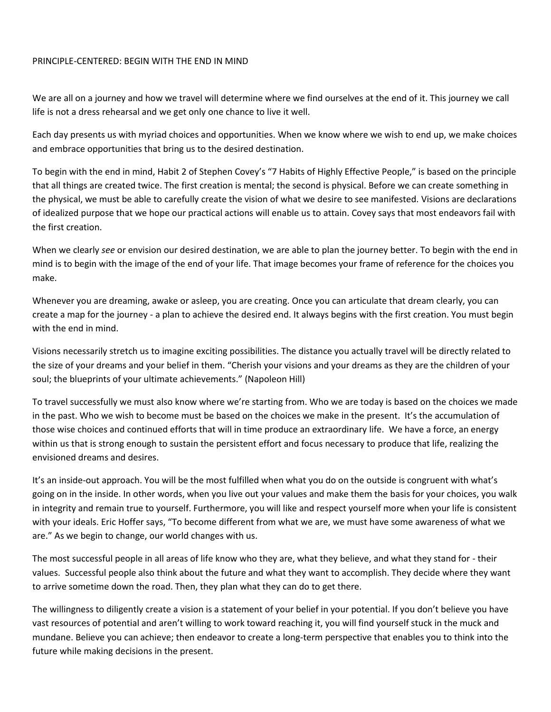## PRINCIPLE-CENTERED: BEGIN WITH THE END IN MIND

We are all on a journey and how we travel will determine where we find ourselves at the end of it. This journey we call life is not a dress rehearsal and we get only one chance to live it well.

Each day presents us with myriad choices and opportunities. When we know where we wish to end up, we make choices and embrace opportunities that bring us to the desired destination.

To begin with the end in mind, Habit 2 of Stephen Covey's "7 Habits of Highly Effective People," is based on the principle that all things are created twice. The first creation is mental; the second is physical. Before we can create something in the physical, we must be able to carefully create the vision of what we desire to see manifested. Visions are declarations of idealized purpose that we hope our practical actions will enable us to attain. Covey says that most endeavors fail with the first creation.

When we clearly *see* or envision our desired destination, we are able to plan the journey better. To begin with the end in mind is to begin with the image of the end of your life. That image becomes your frame of reference for the choices you make.

Whenever you are dreaming, awake or asleep, you are creating. Once you can articulate that dream clearly, you can create a map for the journey - a plan to achieve the desired end. It always begins with the first creation. You must begin with the end in mind.

Visions necessarily stretch us to imagine exciting possibilities. The distance you actually travel will be directly related to the size of your dreams and your belief in them. "Cherish your visions and your dreams as they are the children of your soul; the blueprints of your ultimate achievements." (Napoleon Hill)

To travel successfully we must also know where we're starting from. Who we are today is based on the choices we made in the past. Who we wish to become must be based on the choices we make in the present. It's the accumulation of those wise choices and continued efforts that will in time produce an extraordinary life. We have a force, an energy within us that is strong enough to sustain the persistent effort and focus necessary to produce that life, realizing the envisioned dreams and desires.

It's an inside-out approach. You will be the most fulfilled when what you do on the outside is congruent with what's going on in the inside. In other words, when you live out your values and make them the basis for your choices, you walk in integrity and remain true to yourself. Furthermore, you will like and respect yourself more when your life is consistent with your ideals. Eric Hoffer says, "To become different from what we are, we must have some awareness of what we are." As we begin to change, our world changes with us.

The most successful people in all areas of life know who they are, what they believe, and what they stand for - their values. Successful people also think about the future and what they want to accomplish. They decide where they want to arrive sometime down the road. Then, they plan what they can do to get there.

The willingness to diligently create a vision is a statement of your belief in your potential. If you don't believe you have vast resources of potential and aren't willing to work toward reaching it, you will find yourself stuck in the muck and mundane. Believe you can achieve; then endeavor to create a long-term perspective that enables you to think into the future while making decisions in the present.